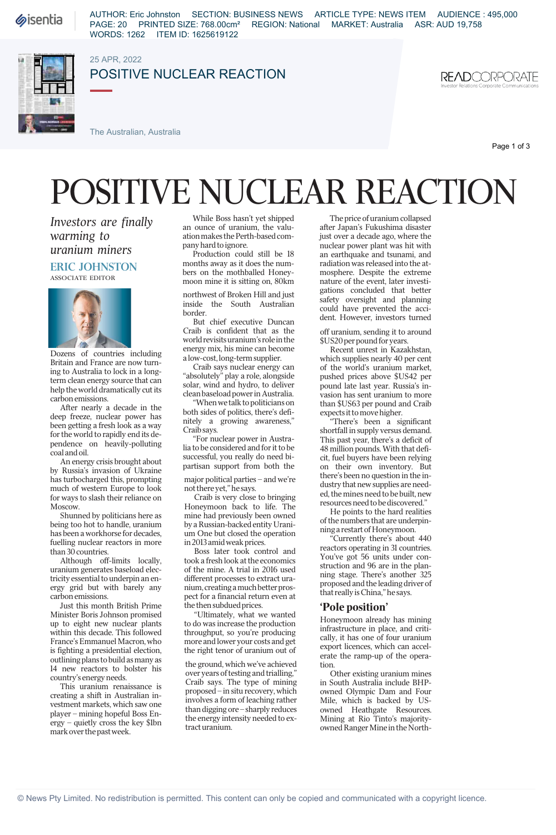*Sisentia* 

AUTHOR: Eric Johnston SECTION: BUSINESS NEWS ARTICLE TYPE: NEWS ITEM AUDIENCE : 495,000 PAGE: 20 PRINTED SIZE: 768.00cm² REGION: National MARKET: Australia ASR: AUD 19,758 WORDS: 1262 ITEM ID: 1625619122



25 APR, 2022 POSITIVE NUCLEAR REACTION

The Australian, Australia

**READ**CORPORATE

Page 1 of 3

# POSITIVE NUCLEAR REACTION

*Investors are finally uranium miners* 

#### *uranium miners* ERIC JOHNSTON ASSOCIATE EDITOR



Dozens of countries including Britain and France are now turning to Australia to lock in a longterm clean energy source that can help the world dramatically cut its carbon emissions.

After nearly a decade in the deep freeze, nuclear power has been getting a fresh look as a way for the world to rapidly end its dependence on heavily-polluting coal and oil.

An energy crisis brought about by Russia's invasion of Ukraine has turbocharged this, prompting much of western Europe to look for ways to slash their reliance on Moscow.

Shunned by politicians here as being too hot to handle, uranium has been a workhorse for decades, fuelling nuclear reactors in more than 30 countries.

Although off-limits locally, uranium generates baseload electricity essential to underpin an energy grid but with barely any carbon emissions.

Just this month British Prime Minister Boris Johnson promised up to eight new nuclear plants within this decade. This followed France's Emmanuel Macron, who is fighting a presidential election, outlining plans to build as many as 14 new reactors to bolster his country's energy needs.

This uranium renaissance is creating a shift in Australian investment markets, which saw one player – mining hopeful Boss Energy – quietly cross the key \$1bn mark over the past week.

While Boss hasn't yet shipped an ounce of uranium, the valuation makes the Perth-based company hard to ignore.

Production could still be 18 months away as it does the numbers on the mothballed Honeymoon mine it is sitting on, 80km

northwest of Broken Hill and just inside the South Australian border.

But chief executive Duncan Craib is confident that as the world revisits uranium's role in the energy mix, his mine can become a low-cost, long-term supplier.

Craib says nuclear energy can "absolutely" play a role, alongside solar, wind and hydro, to deliver clean baseload power in Australia.

"When we talk to politicians on both sides of politics, there's definitely a growing awareness," Craib says.

"For nuclear power in Australia to be considered and for it to be successful, you really do need bipartisan support from both the

major political parties – and we're not there yet," he says.

Craib is very close to bringing Honeymoon back to life. The mine had previously been owned by a Russian-backed entity Uranium One but closed the operation in 2013 amid weak prices.

Boss later took control and took a fresh look at the economics of the mine. A trial in 2016 used different processes to extract uranium, creating a much better prospect for a financial return even at the then subdued prices.

"Ultimately, what we wanted to do was increase the production throughput, so you're producing more and lower your costs and get the right tenor of uranium out of

the ground, which we've achieved over years of testing and trialling," Craib says. The type of mining proposed – in situ recovery, which involves a form of leaching rather than digging ore – sharply reduces the energy intensity needed to extract uranium.

The price of uranium collapsed after Japan's Fukushima disaster just over a decade ago, where the nuclear power plant was hit with an earthquake and tsunami, and radiation was released into the atmosphere. Despite the extreme nature of the event, later investigations concluded that better safety oversight and planning could have prevented the accident. However, investors turned

off uranium, sending it to around \$US20 per pound for years.

Recent unrest in Kazakhstan, which supplies nearly 40 per cent of the world's uranium market, pushed prices above \$US42 per pound late last year. Russia's invasion has sent uranium to more than \$US63 per pound and Craib expects it to move higher.

"There's been a significant shortfall in supply versus demand. This past year, there's a deficit of 48 million pounds. With that deficit, fuel buyers have been relying on their own inventory. But there's been no question in the industry that new supplies are needed, the mines need to be built, new resources need to be discovered."

He points to the hard realities of the numbers that are underpinning a restart of Honeymoon.

"Currently there's about 440 reactors operating in 31 countries. You've got 56 units under construction and 96 are in the planning stage. There's another 325 proposed and the leading driver of that really is China," he says.

#### 'Pole position'

Honeymoon already has mining infrastructure in place, and critically, it has one of four uranium export licences, which can accelerate the ramp-up of the operation.

Other existing uranium mines in South Australia include BHPowned Olympic Dam and Four Mile, which is backed by USowned Heathgate Resources. Mining at Rio Tinto's majorityowned Ranger Mine in the North-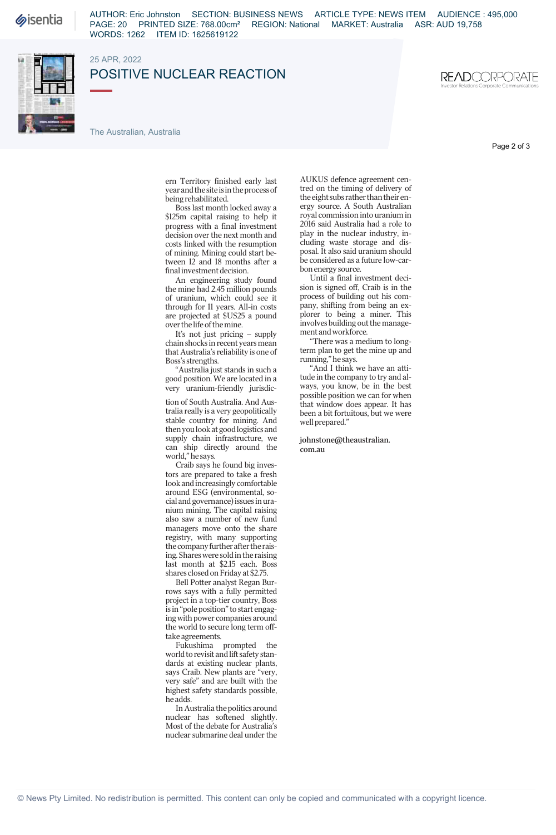## *Sisentia*

AUTHOR: Eric Johnston SECTION: BUSINESS NEWS ARTICLE TYPE: NEWS ITEM AUDIENCE : 495,000 PAGE: 20 PRINTED SIZE: 768.00cm<sup>2</sup> REGION: National MARKET: Australia ASR: AUD 19,758 WORDS: 1262 ITEM ID: 1625619122



#### 25 APR, 2022 POSITIVE NUCLEAR REACTION



**READ**CORPORATE

Page 2 of 3

ern Territory finished early last year and the site is in the process of being rehabilitated.

Boss last month locked away a \$125m capital raising to help it progress with a final investment decision over the next month and costs linked with the resumption of mining. Mining could start between 12 and 18 months after a final investment decision.

An engineering study found the mine had 2.45 million pounds of uranium, which could see it through for 11 years. All-in costs are projected at \$US25 a pound over the life of the mine.

It's not just pricing – supply chain shocks in recent years mean that Australia's reliability is one of Boss's strengths.

"Australia just stands in such a good position. We are located in a very uranium-friendly jurisdic-

tion of South Australia. And Australia really is a very geopolitically stable country for mining. And then you look at good logistics and supply chain infrastructure, we can ship directly around the world," he says.

Craib says he found big investors are prepared to take a fresh look and increasingly comfortable around ESG (environmental, social and governance) issues in uranium mining. The capital raising also saw a number of new fund managers move onto the share registry, with many supporting the company further after the raising. Shares were sold in the raising last month at \$2.15 each. Boss shares closed on Friday at \$2.75.

Bell Potter analyst Regan Burrows says with a fully permitted project in a top-tier country, Boss is in "pole position" to start engaging with power companies around the world to secure long term offtake agreements.

Fukushima prompted the world to revisit and lift safety standards at existing nuclear plants, says Craib. New plants are "very, very safe" and are built with the highest safety standards possible, he adds.

In Australia the politics around nuclear has softened slightly. Most of the debate for Australia's nuclear submarine deal under the

AUKUS defence agreement centred on the timing of delivery of the eight subs rather than their energy source. A South Australian royal commission into uranium in 2016 said Australia had a role to play in the nuclear industry, including waste storage and disposal. It also said uranium should be considered as a future low-carbon energy source.

Until a final investment decision is signed off, Craib is in the process of building out his company, shifting from being an explorer to being a miner. This involves building out the management and workforce.

"There was a medium to longterm plan to get the mine up and running," he says.

"And I think we have an attitude in the company to try and always, you know, be in the best possible position we can for when that window does appear. It has been a bit fortuitous, but we were well prepared."

johnstone@theaustralian. com.au